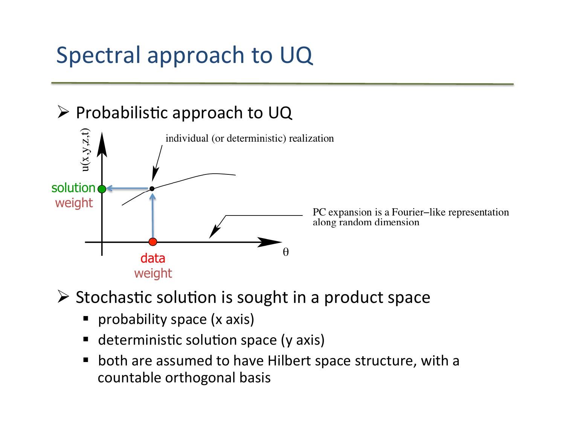# Spectral approach to UQ



 $\triangleright$  Stochastic solution is sought in a product space

- probability space (x axis)
- $\blacksquare$  deterministic solution space (y axis)
- both are assumed to have Hilbert space structure, with a countable orthogonal basis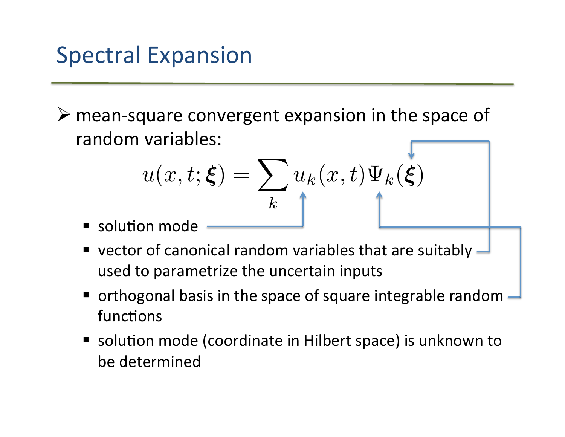## Spectral Expansion

 $\triangleright$  mean-square convergent expansion in the space of random variables:

$$
u(x, t; \xi) = \sum_{k} u_k(x, t) \Psi_k(\xi)
$$

- **Solution mode**
- vector of canonical random variables that are suitably  $\overline{\phantom{a}}$ used to parametrize the uncertain inputs
- $\blacksquare$  orthogonal basis in the space of square integrable random functions
- solution mode (coordinate in Hilbert space) is unknown to be determined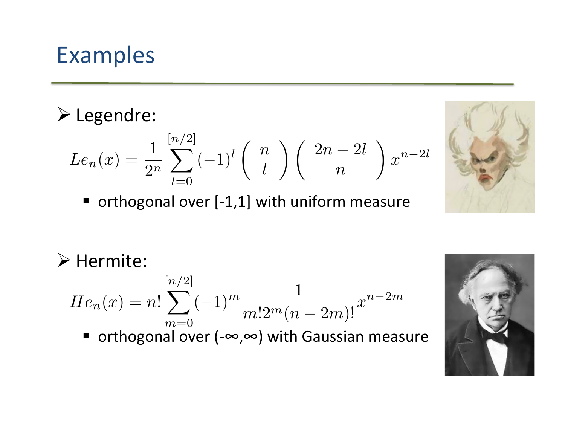## Examples)

#### ! Legendre:)

$$
Le_n(x) = \frac{1}{2^n} \sum_{l=0}^{[n/2]} (-1)^l \binom{n}{l} \binom{2n-2l}{n} x^{n-2l}
$$

 $\blacksquare$  orthogonal over [-1,1] with uniform measure



 $\triangleright$  Hermite:

$$
He_n(x) = n! \sum_{m=0}^{[n/2]} (-1)^m \frac{1}{m!2^m(n-2m)!} x^{n-2m}
$$

■ orthogonal over (-∞,∞) with Gaussian measure

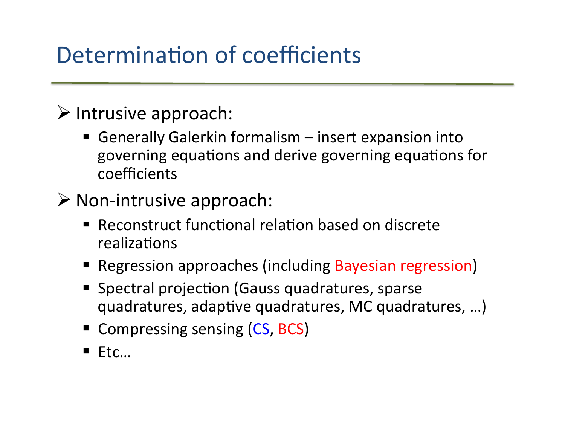# Determination of coefficients

#### $\triangleright$  Intrusive approach:

- Generally Galerkin formalism insert expansion into governing equations and derive governing equations for coefficients)
- $\triangleright$  Non-intrusive approach:
	- Reconstruct functional relation based on discrete realizations
	- **Regression approaches (including Bayesian regression)**
	- **Spectral projection (Gauss quadratures, sparse** quadratures, adaptive quadratures, MC quadratures, ...)
	- **Compressing sensing (CS, BCS)**
	- $\blacksquare$  Etc...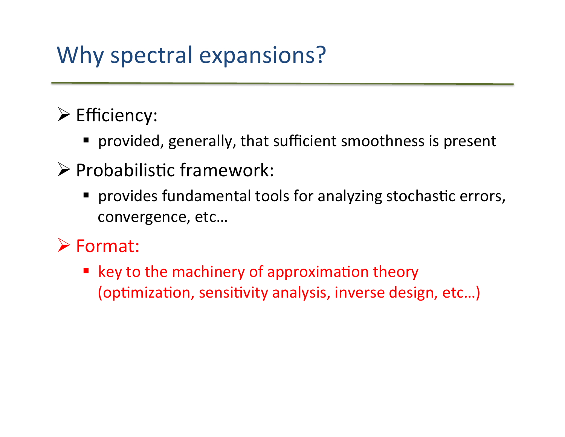# Why spectral expansions?

### $\triangleright$  Efficiency:

- provided, generally, that sufficient smoothness is present
- $\triangleright$  Probabilistic framework:
	- " provides fundamental tools for analyzing stochastic errors, convergence, etc...

### ! Format:

" key to the machinery of approximation theory (optimization, sensitivity analysis, inverse design, etc...)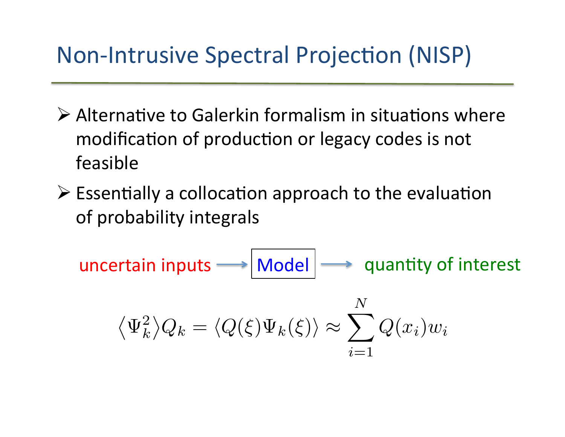## Non-Intrusive Spectral Projection (NISP)

- $\triangleright$  Alternative to Galerkin formalism in situations where modification of production or legacy codes is not feasible)
- $\triangleright$  Essentially a collocation approach to the evaluation of)probability)integrals)

uncertain inputs  $\longrightarrow$  Model  $\longrightarrow$  quantity of interest

$$
\langle \Psi_k^2 \rangle Q_k = \langle Q(\xi) \Psi_k(\xi) \rangle \approx \sum_{i=1}^N Q(x_i) w_i
$$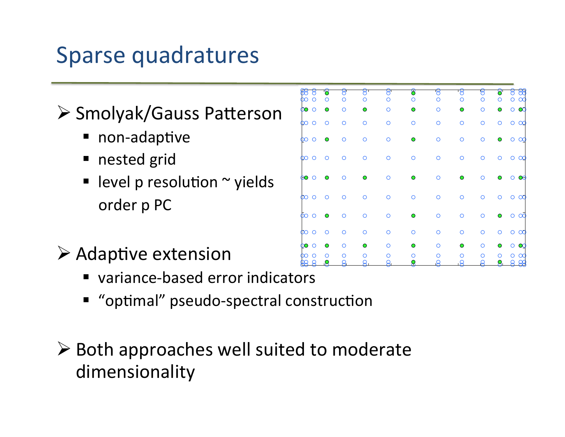## Sparse quadratures

### $\triangleright$  Smolyak/Gauss Patterson

- $\blacksquare$  non-adaptive
- nested grid
- level p resolution  $\sim$  yields order p PC
- $\triangleright$  Adaptive extension
	- variance-based error indicators
	- " "optimal" pseudo-spectral construction

### $\triangleright$  Both approaches well suited to moderate dimensionality)

|                     |                   | 8          |            | ਬ       | පි               | ष       |            | চ্      |         | Ħ<br>٣                   |
|---------------------|-------------------|------------|------------|---------|------------------|---------|------------|---------|---------|--------------------------|
| O<br>O              | O                 | Ω          | O          | Ο       | O                | O       | ∩          | О       | O       | $\infty$<br>O            |
| $\infty$<br>$\circ$ | O                 | Ω          | ∩          | O       | $\mathbf{\circ}$ | $\circ$ | $\bullet$  | Ω       | ∩       | Ø<br>Ω                   |
| Ω<br>$\infty$       | Ω                 | $\bigcirc$ | $\bigcirc$ | Ω       | $\circ$          | O       | $\bigcirc$ | $\circ$ | $\circ$ | $\circ$<br>$\infty$      |
| $\circ$<br>$\infty$ | O                 | $\circ$    | Ω          | Ω       | O                | O       | O          | O       | O       | $\alpha$<br>$\circ$      |
| O<br>$\infty$       | Ω                 | $\Omega$   | Ω          | Ω       | O                | O       | O          | Ω       | Ω       | $\alpha$                 |
| $\Theta$<br>$\circ$ |                   | ∩          | Ο          | Ο       | O                | $\circ$ | O          | O       | O       | œ                        |
| $\infty$<br>O       | Ω                 | ∩          | Ω          | O       | $\circ$          | $\circ$ | O          | $\circ$ | O       | $\infty$<br>Ő            |
| $\infty$<br>$\circ$ | O                 | O          | $\circ$    | $\circ$ | O                | $\circ$ | $\circ$    | $\circ$ | O       | ∝<br>O                   |
| $\infty$<br>$\circ$ | Ο                 | $\Omega$   | $\circ$    | ∩       | $\circ$          | $\circ$ | $\circ$    | $\circ$ | $\circ$ | $\infty$<br>$\circ$      |
| Ω<br>O              | ∩                 | ∩          |            | ∩       | ∩                | Ο       | ∩          | ∩       |         | Q<br>∩                   |
| 8<br>$\mathbb{R}$   | ∩<br>$\mathbf{Q}$ | ∩<br>ନ୍ତ   | Я          | Я       | Я                | Я       | ∩<br>8     | Ω<br>ρ  | Я,      | $\infty$<br>∩<br>8<br>28 |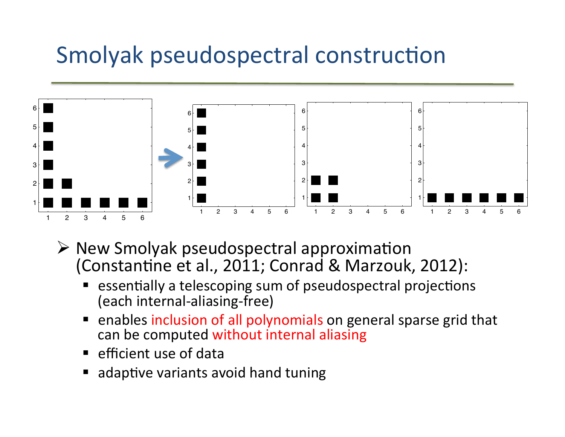## Smolyak pseudospectral construction



- $\triangleright$  New Smolyak pseudospectral approximation (Constantine et al., 2011; Conrad & Marzouk, 2012):
	- essentially a telescoping sum of pseudospectral projections (each internal-aliasing-free)
	- **"** enables inclusion of all polynomials on general sparse grid that can be computed without internal aliasing
	- **E** efficient use of data
	- " adaptive variants avoid hand tuning